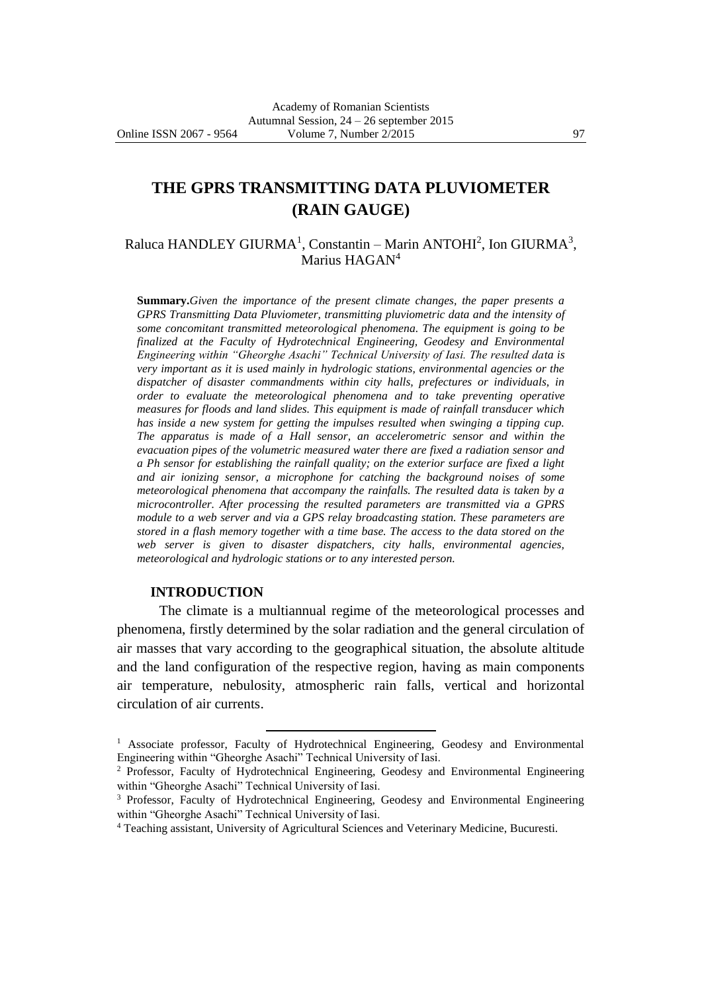# **THE GPRS TRANSMITTING DATA PLUVIOMETER (RAIN GAUGE)**

Raluca HANDLEY GIURMA<sup>1</sup>, Constantin – Marin ANTOHI<sup>2</sup>, Ion GIURMA<sup>3</sup>, Marius HAGAN<sup>4</sup>

**Summary.***Given the importance of the present climate changes, the paper presents a GPRS Transmitting Data Pluviometer, transmitting pluviometric data and the intensity of some concomitant transmitted meteorological phenomena. The equipment is going to be finalized at the Faculty of Hydrotechnical Engineering, Geodesy and Environmental Engineering within "Gheorghe Asachi" Technical University of Iasi. The resulted data is very important as it is used mainly in hydrologic stations, environmental agencies or the dispatcher of disaster commandments within city halls, prefectures or individuals, in order to evaluate the meteorological phenomena and to take preventing operative measures for floods and land slides. This equipment is made of rainfall transducer which has inside a new system for getting the impulses resulted when swinging a tipping cup. The apparatus is made of a Hall sensor, an accelerometric sensor and within the evacuation pipes of the volumetric measured water there are fixed a radiation sensor and a Ph sensor for establishing the rainfall quality; on the exterior surface are fixed a light and air ionizing sensor, a microphone for catching the background noises of some meteorological phenomena that accompany the rainfalls. The resulted data is taken by a microcontroller. After processing the resulted parameters are transmitted via a GPRS module to a web server and via a GPS relay broadcasting station. These parameters are stored in a flash memory together with a time base. The access to the data stored on the web server is given to disaster dispatchers, city halls, environmental agencies, meteorological and hydrologic stations or to any interested person.*

### **INTRODUCTION**

 $\overline{a}$ 

The climate is a multiannual regime of the meteorological processes and phenomena, firstly determined by the solar radiation and the general circulation of air masses that vary according to the geographical situation, the absolute altitude and the land configuration of the respective region, having as main components air temperature, nebulosity, atmospheric rain falls, vertical and horizontal circulation of air currents.

<sup>&</sup>lt;sup>1</sup> Associate professor, Faculty of Hydrotechnical Engineering, Geodesy and Environmental Engineering within "Gheorghe Asachi" Technical University of Iasi.

<sup>2</sup> Professor, Faculty of Hydrotechnical Engineering, Geodesy and Environmental Engineering within "Gheorghe Asachi" Technical University of Iasi.

<sup>&</sup>lt;sup>3</sup> Professor, Faculty of Hydrotechnical Engineering, Geodesy and Environmental Engineering within "Gheorghe Asachi" Technical University of Iasi.

<sup>4</sup> Teaching assistant, University of Agricultural Sciences and Veterinary Medicine, Bucuresti.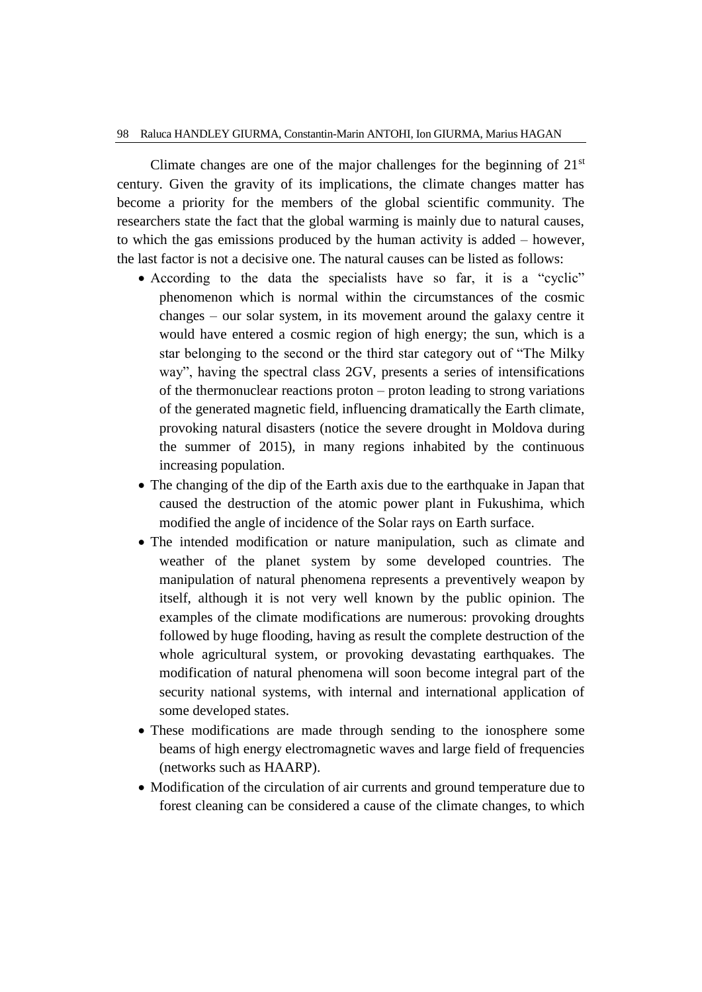Climate changes are one of the major challenges for the beginning of  $21<sup>st</sup>$ century. Given the gravity of its implications, the climate changes matter has become a priority for the members of the global scientific community. The researchers state the fact that the global warming is mainly due to natural causes, to which the gas emissions produced by the human activity is added – however, the last factor is not a decisive one. The natural causes can be listed as follows:

- According to the data the specialists have so far, it is a "cyclic" phenomenon which is normal within the circumstances of the cosmic changes – our solar system, in its movement around the galaxy centre it would have entered a cosmic region of high energy; the sun, which is a star belonging to the second or the third star category out of "The Milky way", having the spectral class 2GV, presents a series of intensifications of the thermonuclear reactions proton – proton leading to strong variations of the generated magnetic field, influencing dramatically the Earth climate, provoking natural disasters (notice the severe drought in Moldova during the summer of 2015), in many regions inhabited by the continuous increasing population.
- The changing of the dip of the Earth axis due to the earthquake in Japan that caused the destruction of the atomic power plant in Fukushima, which modified the angle of incidence of the Solar rays on Earth surface.
- The intended modification or nature manipulation, such as climate and weather of the planet system by some developed countries. The manipulation of natural phenomena represents a preventively weapon by itself, although it is not very well known by the public opinion. The examples of the climate modifications are numerous: provoking droughts followed by huge flooding, having as result the complete destruction of the whole agricultural system, or provoking devastating earthquakes. The modification of natural phenomena will soon become integral part of the security national systems, with internal and international application of some developed states.
- These modifications are made through sending to the ionosphere some beams of high energy electromagnetic waves and large field of frequencies (networks such as HAARP).
- Modification of the circulation of air currents and ground temperature due to forest cleaning can be considered a cause of the climate changes, to which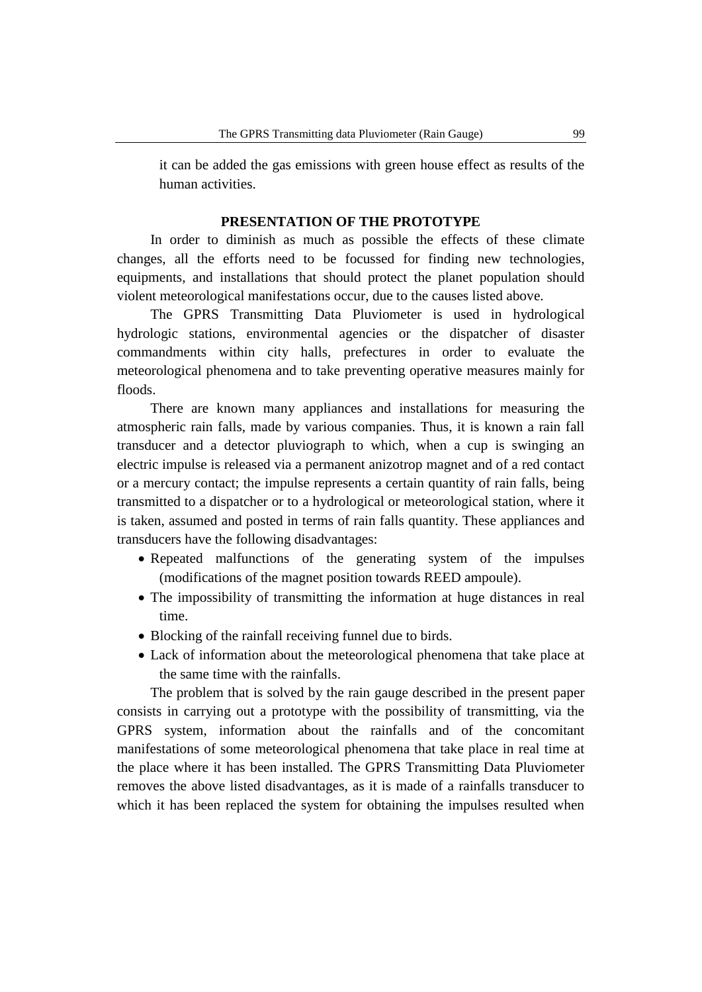it can be added the gas emissions with green house effect as results of the human activities.

### **PRESENTATION OF THE PROTOTYPE**

In order to diminish as much as possible the effects of these climate changes, all the efforts need to be focussed for finding new technologies, equipments, and installations that should protect the planet population should violent meteorological manifestations occur, due to the causes listed above.

The GPRS Transmitting Data Pluviometer is used in hydrological hydrologic stations, environmental agencies or the dispatcher of disaster commandments within city halls, prefectures in order to evaluate the meteorological phenomena and to take preventing operative measures mainly for floods.

There are known many appliances and installations for measuring the atmospheric rain falls, made by various companies. Thus, it is known a rain fall transducer and a detector pluviograph to which, when a cup is swinging an electric impulse is released via a permanent anizotrop magnet and of a red contact or a mercury contact; the impulse represents a certain quantity of rain falls, being transmitted to a dispatcher or to a hydrological or meteorological station, where it is taken, assumed and posted in terms of rain falls quantity. These appliances and transducers have the following disadvantages:

- Repeated malfunctions of the generating system of the impulses (modifications of the magnet position towards REED ampoule).
- The impossibility of transmitting the information at huge distances in real time.
- Blocking of the rainfall receiving funnel due to birds.
- Lack of information about the meteorological phenomena that take place at the same time with the rainfalls.

The problem that is solved by the rain gauge described in the present paper consists in carrying out a prototype with the possibility of transmitting, via the GPRS system, information about the rainfalls and of the concomitant manifestations of some meteorological phenomena that take place in real time at the place where it has been installed. The GPRS Transmitting Data Pluviometer removes the above listed disadvantages, as it is made of a rainfalls transducer to which it has been replaced the system for obtaining the impulses resulted when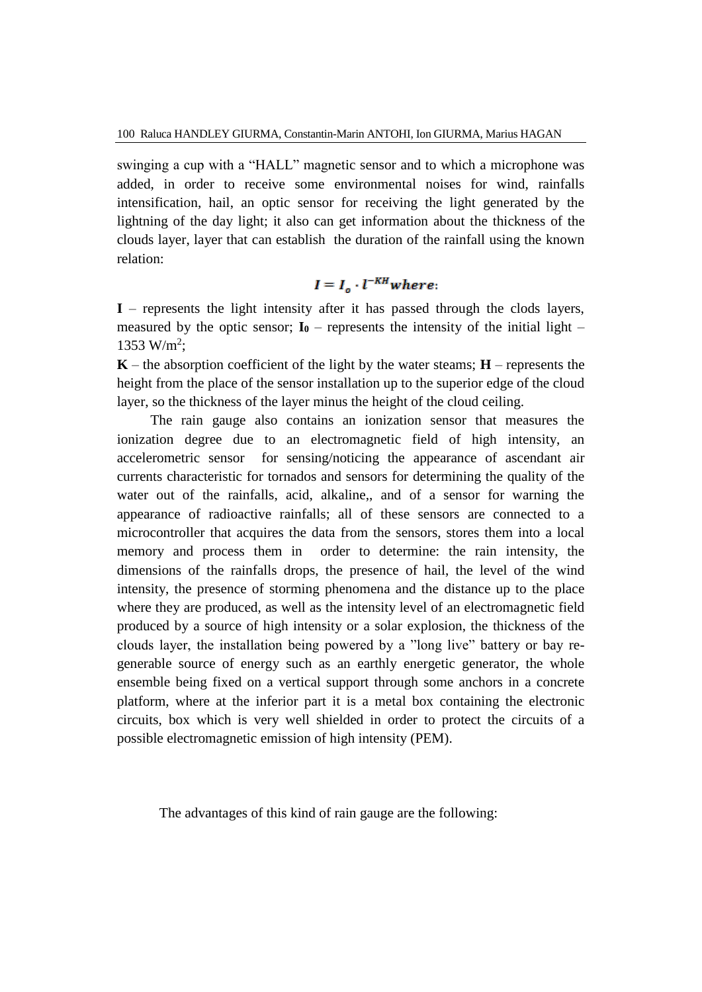swinging a cup with a "HALL" magnetic sensor and to which a microphone was added, in order to receive some environmental noises for wind, rainfalls intensification, hail, an optic sensor for receiving the light generated by the lightning of the day light; it also can get information about the thickness of the clouds layer, layer that can establish the duration of the rainfall using the known relation:

# $I = I_{\alpha} \cdot l^{-KH}$  where:

**I** – represents the light intensity after it has passed through the clods layers, measured by the optic sensor;  $I_0$  – represents the intensity of the initial light – 1353 W/m<sup>2</sup>;

 $K$  – the absorption coefficient of the light by the water steams;  $H$  – represents the height from the place of the sensor installation up to the superior edge of the cloud layer, so the thickness of the layer minus the height of the cloud ceiling.

The rain gauge also contains an ionization sensor that measures the ionization degree due to an electromagnetic field of high intensity, an accelerometric sensor for sensing/noticing the appearance of ascendant air currents characteristic for tornados and sensors for determining the quality of the water out of the rainfalls, acid, alkaline,, and of a sensor for warning the appearance of radioactive rainfalls; all of these sensors are connected to a microcontroller that acquires the data from the sensors, stores them into a local memory and process them in order to determine: the rain intensity, the dimensions of the rainfalls drops, the presence of hail, the level of the wind intensity, the presence of storming phenomena and the distance up to the place where they are produced, as well as the intensity level of an electromagnetic field produced by a source of high intensity or a solar explosion, the thickness of the clouds layer, the installation being powered by a "long live" battery or bay regenerable source of energy such as an earthly energetic generator, the whole ensemble being fixed on a vertical support through some anchors in a concrete platform, where at the inferior part it is a metal box containing the electronic circuits, box which is very well shielded in order to protect the circuits of a possible electromagnetic emission of high intensity (PEM).

The advantages of this kind of rain gauge are the following: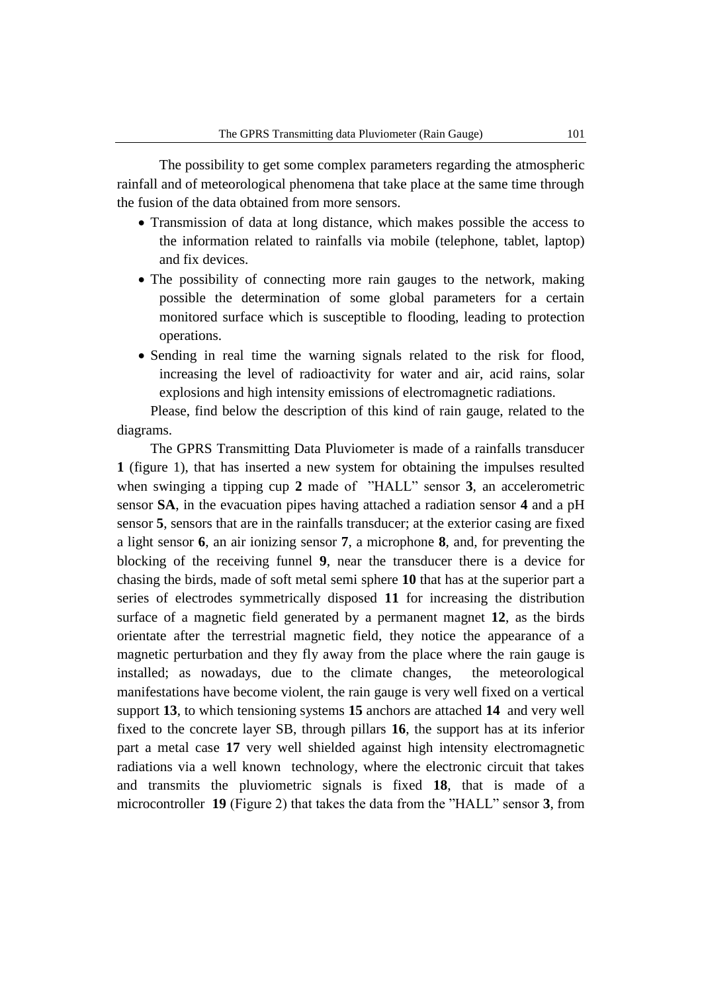The possibility to get some complex parameters regarding the atmospheric rainfall and of meteorological phenomena that take place at the same time through the fusion of the data obtained from more sensors.

- Transmission of data at long distance, which makes possible the access to the information related to rainfalls via mobile (telephone, tablet, laptop) and fix devices.
- The possibility of connecting more rain gauges to the network, making possible the determination of some global parameters for a certain monitored surface which is susceptible to flooding, leading to protection operations.
- Sending in real time the warning signals related to the risk for flood, increasing the level of radioactivity for water and air, acid rains, solar explosions and high intensity emissions of electromagnetic radiations.

Please, find below the description of this kind of rain gauge, related to the diagrams.

The GPRS Transmitting Data Pluviometer is made of a rainfalls transducer **1** (figure 1), that has inserted a new system for obtaining the impulses resulted when swinging a tipping cup **2** made of "HALL" sensor **3**, an accelerometric sensor **SA**, in the evacuation pipes having attached a radiation sensor **4** and a pH sensor **5**, sensors that are in the rainfalls transducer; at the exterior casing are fixed a light sensor **6**, an air ionizing sensor **7**, a microphone **8**, and, for preventing the blocking of the receiving funnel **9**, near the transducer there is a device for chasing the birds, made of soft metal semi sphere **10** that has at the superior part a series of electrodes symmetrically disposed **11** for increasing the distribution surface of a magnetic field generated by a permanent magnet **12**, as the birds orientate after the terrestrial magnetic field, they notice the appearance of a magnetic perturbation and they fly away from the place where the rain gauge is installed; as nowadays, due to the climate changes, the meteorological manifestations have become violent, the rain gauge is very well fixed on a vertical support **13**, to which tensioning systems **15** anchors are attached **14** and very well fixed to the concrete layer SB, through pillars **16**, the support has at its inferior part a metal case **17** very well shielded against high intensity electromagnetic radiations via a well known technology, where the electronic circuit that takes and transmits the pluviometric signals is fixed **18**, that is made of a microcontroller **19** (Figure 2) that takes the data from the "HALL" sensor **3**, from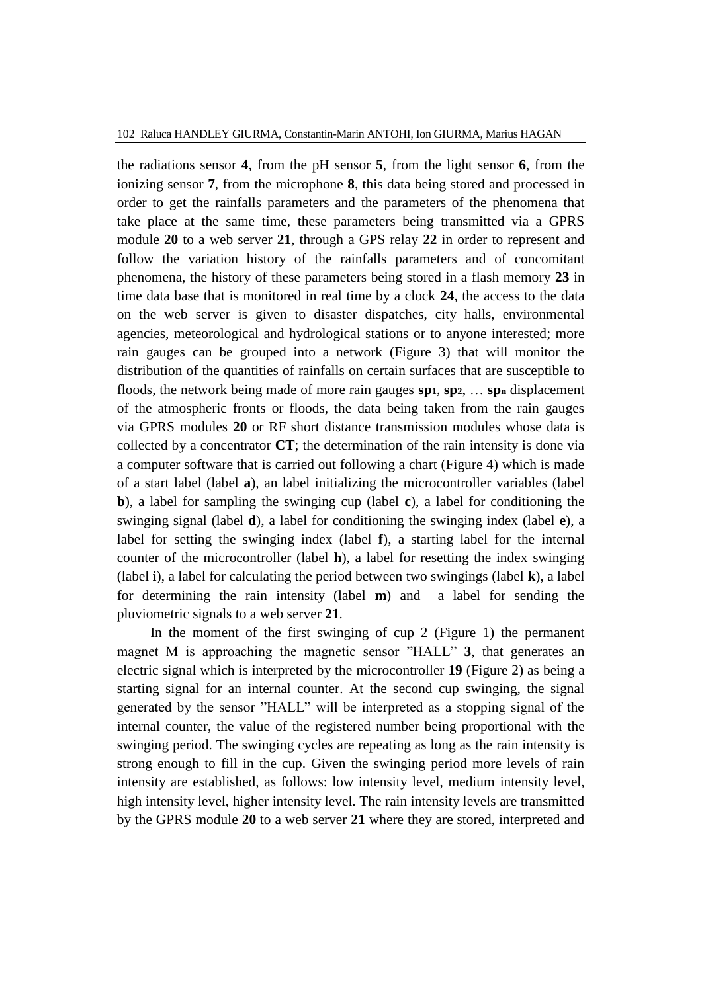the radiations sensor **4**, from the pH sensor **5**, from the light sensor **6**, from the ionizing sensor **7**, from the microphone **8**, this data being stored and processed in order to get the rainfalls parameters and the parameters of the phenomena that take place at the same time, these parameters being transmitted via a GPRS module **20** to a web server **21**, through a GPS relay **22** in order to represent and follow the variation history of the rainfalls parameters and of concomitant phenomena, the history of these parameters being stored in a flash memory **23** in time data base that is monitored in real time by a clock **24**, the access to the data on the web server is given to disaster dispatches, city halls, environmental agencies, meteorological and hydrological stations or to anyone interested; more rain gauges can be grouped into a network (Figure 3) that will monitor the distribution of the quantities of rainfalls on certain surfaces that are susceptible to floods, the network being made of more rain gauges **sp1**, **sp2**, … **sp<sup>n</sup>** displacement of the atmospheric fronts or floods, the data being taken from the rain gauges via GPRS modules **20** or RF short distance transmission modules whose data is collected by a concentrator **CT**; the determination of the rain intensity is done via a computer software that is carried out following a chart (Figure 4) which is made of a start label (label **a**), an label initializing the microcontroller variables (label **b**), a label for sampling the swinging cup (label **c**), a label for conditioning the swinging signal (label **d**), a label for conditioning the swinging index (label **e**), a label for setting the swinging index (label **f**), a starting label for the internal counter of the microcontroller (label **h**), a label for resetting the index swinging (label **i**), a label for calculating the period between two swingings (label **k**), a label for determining the rain intensity (label **m**) and a label for sending the pluviometric signals to a web server **21**.

In the moment of the first swinging of cup 2 (Figure 1) the permanent magnet M is approaching the magnetic sensor "HALL" **3**, that generates an electric signal which is interpreted by the microcontroller **19** (Figure 2) as being a starting signal for an internal counter. At the second cup swinging, the signal generated by the sensor "HALL" will be interpreted as a stopping signal of the internal counter, the value of the registered number being proportional with the swinging period. The swinging cycles are repeating as long as the rain intensity is strong enough to fill in the cup. Given the swinging period more levels of rain intensity are established, as follows: low intensity level, medium intensity level, high intensity level, higher intensity level. The rain intensity levels are transmitted by the GPRS module **20** to a web server **21** where they are stored, interpreted and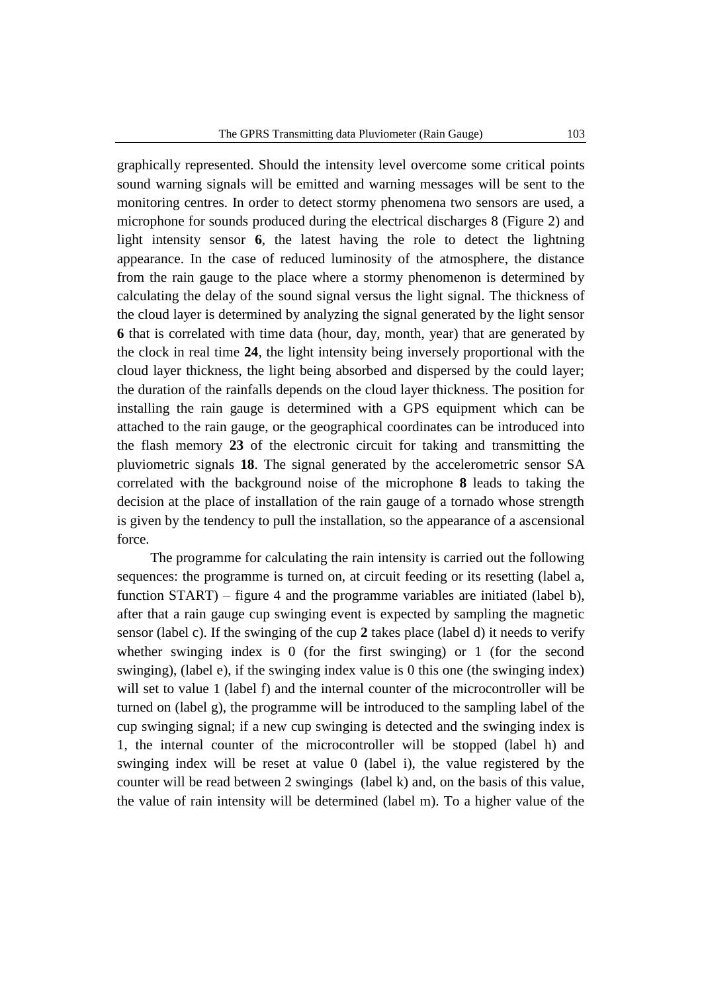graphically represented. Should the intensity level overcome some critical points sound warning signals will be emitted and warning messages will be sent to the monitoring centres. In order to detect stormy phenomena two sensors are used, a microphone for sounds produced during the electrical discharges 8 (Figure 2) and light intensity sensor **6**, the latest having the role to detect the lightning appearance. In the case of reduced luminosity of the atmosphere, the distance from the rain gauge to the place where a stormy phenomenon is determined by calculating the delay of the sound signal versus the light signal. The thickness of the cloud layer is determined by analyzing the signal generated by the light sensor **6** that is correlated with time data (hour, day, month, year) that are generated by the clock in real time **24**, the light intensity being inversely proportional with the cloud layer thickness, the light being absorbed and dispersed by the could layer; the duration of the rainfalls depends on the cloud layer thickness. The position for installing the rain gauge is determined with a GPS equipment which can be attached to the rain gauge, or the geographical coordinates can be introduced into the flash memory **23** of the electronic circuit for taking and transmitting the pluviometric signals **18**. The signal generated by the accelerometric sensor SA correlated with the background noise of the microphone **8** leads to taking the decision at the place of installation of the rain gauge of a tornado whose strength is given by the tendency to pull the installation, so the appearance of a ascensional force.

The programme for calculating the rain intensity is carried out the following sequences: the programme is turned on, at circuit feeding or its resetting (label a, function START) – figure 4 and the programme variables are initiated (label b), after that a rain gauge cup swinging event is expected by sampling the magnetic sensor (label c). If the swinging of the cup **2** takes place (label d) it needs to verify whether swinging index is 0 (for the first swinging) or 1 (for the second swinging), (label e), if the swinging index value is 0 this one (the swinging index) will set to value 1 (label f) and the internal counter of the microcontroller will be turned on (label g), the programme will be introduced to the sampling label of the cup swinging signal; if a new cup swinging is detected and the swinging index is 1, the internal counter of the microcontroller will be stopped (label h) and swinging index will be reset at value 0 (label i), the value registered by the counter will be read between 2 swingings (label k) and, on the basis of this value, the value of rain intensity will be determined (label m). To a higher value of the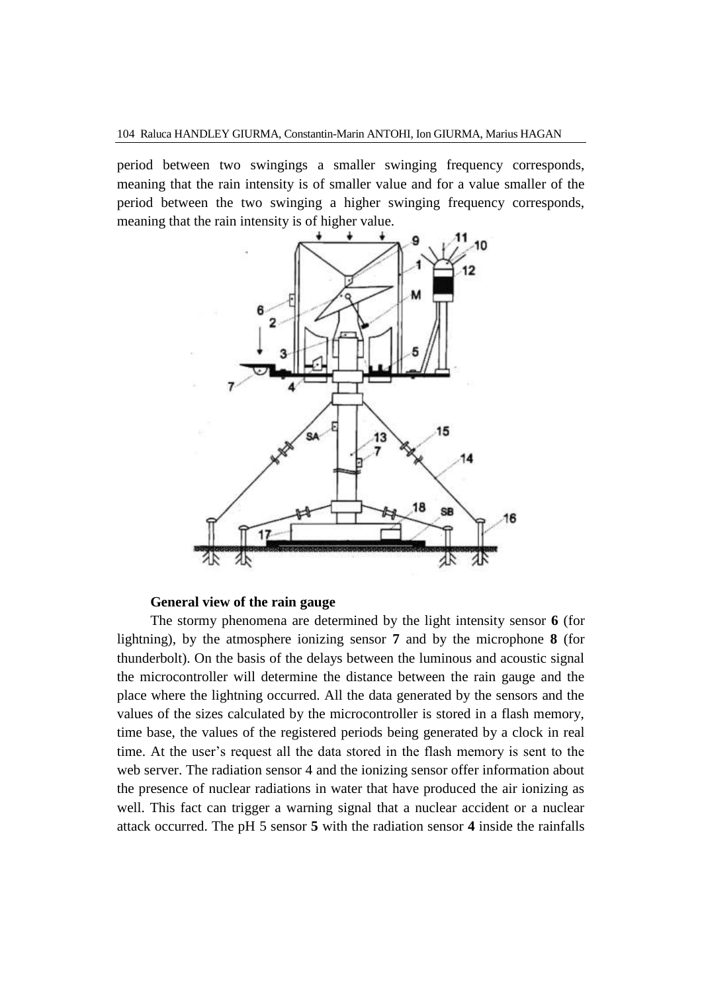period between two swingings a smaller swinging frequency corresponds, meaning that the rain intensity is of smaller value and for a value smaller of the period between the two swinging a higher swinging frequency corresponds, meaning that the rain intensity is of higher value.



## **General view of the rain gauge**

The stormy phenomena are determined by the light intensity sensor **6** (for lightning), by the atmosphere ionizing sensor **7** and by the microphone **8** (for thunderbolt). On the basis of the delays between the luminous and acoustic signal the microcontroller will determine the distance between the rain gauge and the place where the lightning occurred. All the data generated by the sensors and the values of the sizes calculated by the microcontroller is stored in a flash memory, time base, the values of the registered periods being generated by a clock in real time. At the user's request all the data stored in the flash memory is sent to the web server. The radiation sensor 4 and the ionizing sensor offer information about the presence of nuclear radiations in water that have produced the air ionizing as well. This fact can trigger a warning signal that a nuclear accident or a nuclear attack occurred. The pH 5 sensor **5** with the radiation sensor **4** inside the rainfalls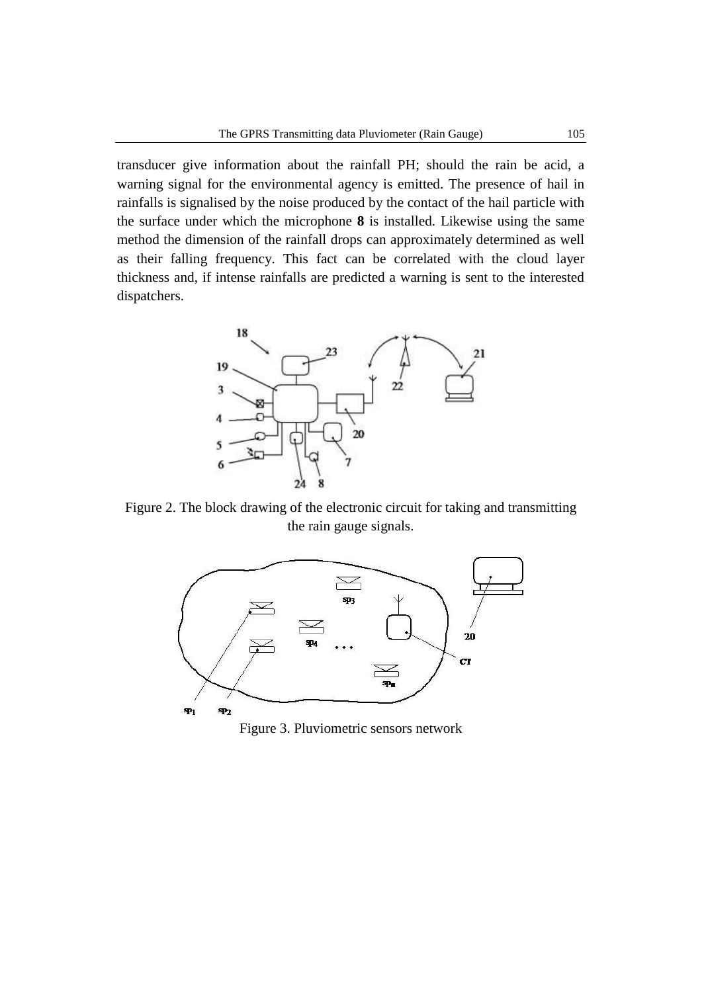transducer give information about the rainfall PH; should the rain be acid, a warning signal for the environmental agency is emitted. The presence of hail in rainfalls is signalised by the noise produced by the contact of the hail particle with the surface under which the microphone **8** is installed. Likewise using the same method the dimension of the rainfall drops can approximately determined as well as their falling frequency. This fact can be correlated with the cloud layer thickness and, if intense rainfalls are predicted a warning is sent to the interested dispatchers.



Figure 2. The block drawing of the electronic circuit for taking and transmitting the rain gauge signals.



Figure 3. Pluviometric sensors network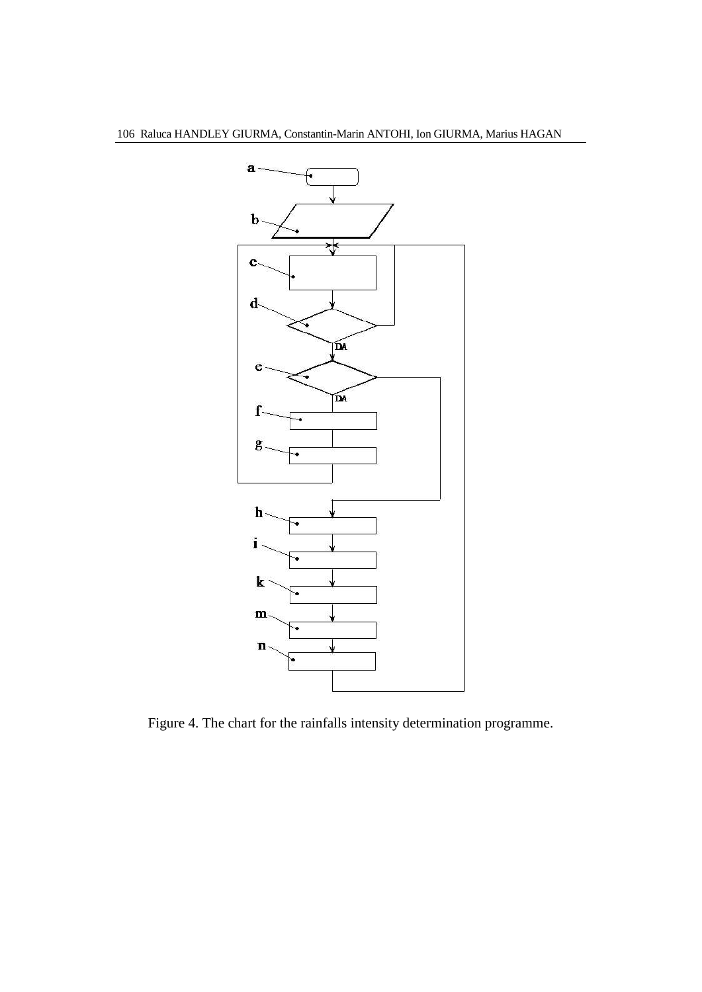

Figure 4. The chart for the rainfalls intensity determination programme.